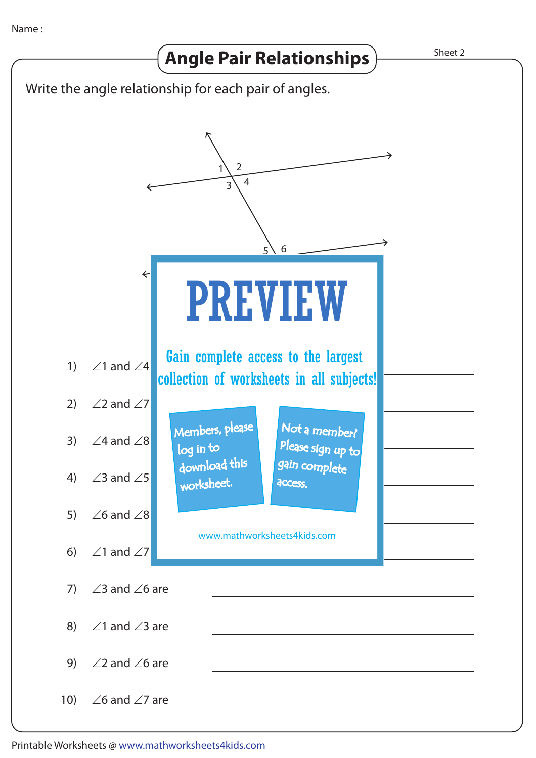